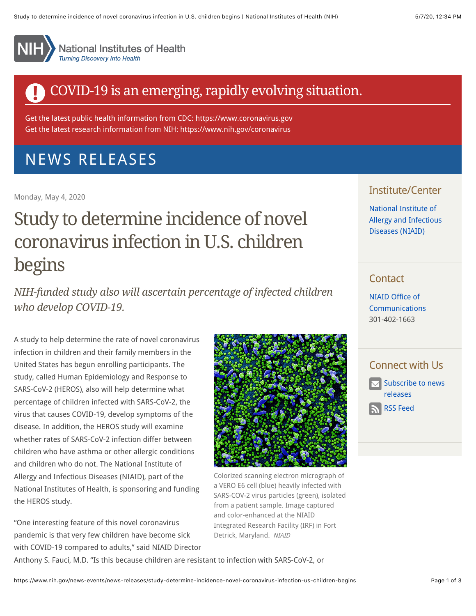

**National Institutes of Health Turning Discovery Into Health** 

## COVID-19 is an emerging, rapidly evolving situation.

Get the latest public health information from CDC: [https://www.coronavirus.gov](https://www.coronavirus.gov/) Get the latest research information from NIH: <https://www.nih.gov/coronavirus>

# [NEWS RELEASES](https://www.nih.gov/news-events/news-releases)

Monday, May 4, 2020

# Study to determine incidence of novel coronavirus infection in U.S. children begins

*NIH-funded study also will ascertain percentage of infected children who develop COVID-19.*

A study to help determine the rate of novel coronavirus infection in children and their family members in the United States has begun enrolling participants. The study, called Human Epidemiology and Response to SARS-CoV-2 (HEROS), also will help determine what percentage of children infected with SARS-CoV-2, the virus that causes COVID-19, develop symptoms of the disease. In addition, the HEROS study will examine whether rates of SARS-CoV-2 infection differ between children who have asthma or other allergic conditions and children who do not. The National Institute of Allergy and Infectious Diseases (NIAID), part of the National Institutes of Health, is sponsoring and funding the HEROS study.

"One interesting feature of this novel coronavirus pandemic is that very few children have become sick with COVID-19 compared to adults," said NIAID Director



Colorized scanning electron micrograph of a VERO E6 cell (blue) heavily infected with SARS-COV-2 virus particles (green), isolated from a patient sample. Image captured and color-enhanced at the NIAID Integrated Research Facility (IRF) in Fort Detrick, Maryland. NIAID

#### Institute/Center

National Institute of [Allergy and Infectious](http://www.niaid.nih.gov/) Diseases (NIAID)

## **Contact**

NIAID Office of [Communications](mailto:NIAIDNews@niaid.nih.gov) 301-402-1663

### Connect with Us

[Subscribe to news](https://service.govdelivery.com/accounts/USNIH/subscriber/new?topic_id=USNIH_1) releases

[RSS Feed](https://www.nih.gov/news-releases/feed.xml)

Anthony S. Fauci, M.D. "Is this because children are resistant to infection with SARS-CoV-2, or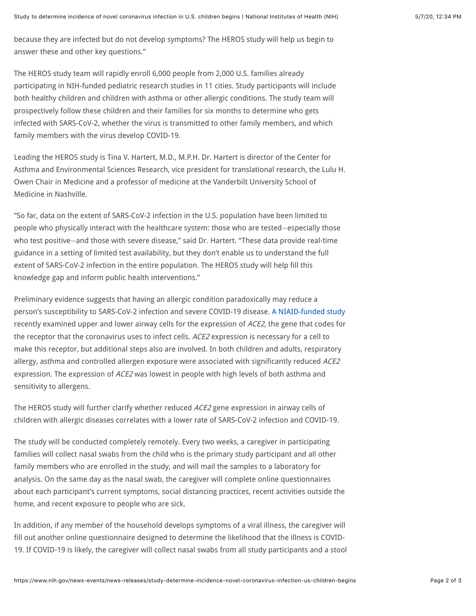because they are infected but do not develop symptoms? The HEROS study will help us begin to answer these and other key questions."

The HEROS study team will rapidly enroll 6,000 people from 2,000 U.S. families already participating in NIH-funded pediatric research studies in 11 cities. Study participants will include both healthy children and children with asthma or other allergic conditions. The study team will prospectively follow these children and their families for six months to determine who gets infected with SARS-CoV-2, whether the virus is transmitted to other family members, and which family members with the virus develop COVID-19.

Leading the HEROS study is Tina V. Hartert, M.D., M.P.H. Dr. Hartert is director of the Center for Asthma and Environmental Sciences Research, vice president for translational research, the Lulu H. Owen Chair in Medicine and a professor of medicine at the Vanderbilt University School of Medicine in Nashville.

"So far, data on the extent of SARS-CoV-2 infection in the U.S. population have been limited to people who physically interact with the healthcare system: those who are tested―especially those who test positive―and those with severe disease," said Dr. Hartert. "These data provide real-time guidance in a setting of limited test availability, but they don't enable us to understand the full extent of SARS-CoV-2 infection in the entire population. The HEROS study will help fill this knowledge gap and inform public health interventions."

Preliminary evidence suggests that having an allergic condition paradoxically may reduce a person's susceptibility to SARS-CoV-2 infection and severe COVID-19 disease. [A NIAID-funded study](https://www.sciencedirect.com/science/article/pii/S0091674920305510?via%3Dihub) recently examined upper and lower airway cells for the expression of ACE2, the gene that codes for the receptor that the coronavirus uses to infect cells. ACE2 expression is necessary for a cell to make this receptor, but additional steps also are involved. In both children and adults, respiratory allergy, asthma and controlled allergen exposure were associated with significantly reduced ACE2 expression. The expression of ACE2 was lowest in people with high levels of both asthma and sensitivity to allergens.

The HEROS study will further clarify whether reduced ACE2 gene expression in airway cells of children with allergic diseases correlates with a lower rate of SARS-CoV-2 infection and COVID-19.

The study will be conducted completely remotely. Every two weeks, a caregiver in participating families will collect nasal swabs from the child who is the primary study participant and all other family members who are enrolled in the study, and will mail the samples to a laboratory for analysis. On the same day as the nasal swab, the caregiver will complete online questionnaires about each participant's current symptoms, social distancing practices, recent activities outside the home, and recent exposure to people who are sick.

In addition, if any member of the household develops symptoms of a viral illness, the caregiver will fill out another online questionnaire designed to determine the likelihood that the illness is COVID-19. If COVID-19 is likely, the caregiver will collect nasal swabs from all study participants and a stool